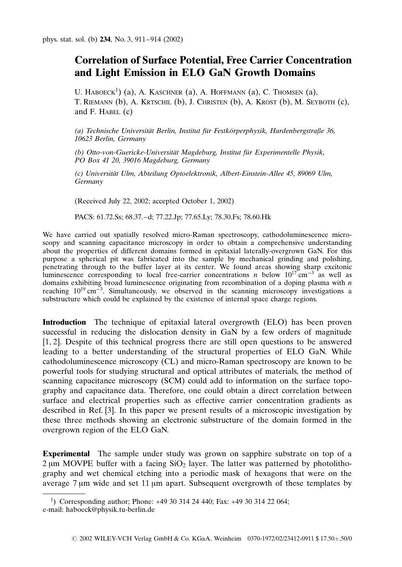## Correlation of Surface Potential, Free Carrier Concentration and Light Emission in ELO GaN Growth Domains

U. HABOECK<sup>1</sup>) (a), A. KASCHNER (a), A. HOFFMANN (a), C. THOMSEN (a), T. Riemann (b), A. Krtschil (b), J. Christen (b), A. Krost (b), M. Seyboth (c), and F. HABEL  $(c)$ 

(a) Technische Universität Berlin, Institut für Festkörperphysik, Hardenbergstraße 36, 10623 Berlin, Germany

(b) Otto-von-Guericke-Universität Magdeburg, Institut für Experimentelle Physik, PO Box 41 20, 39016 Magdeburg, Germany

(c) Universita¨t Ulm, Abteilung Optoelektronik, Albert-Einstein-Allee 45, 89069 Ulm, Germany

(Received July 22, 2002; accepted October 1, 2002)

PACS: 61.72.Ss; 68.37.–d; 77.22.Jp; 77.65.Ly; 78.30.Fs; 78.60.Hk

We have carried out spatially resolved micro-Raman spectroscopy, cathodoluminescence microscopy and scanning capacitance microscopy in order to obtain a comprehensive understanding about the properties of different domains formed in epitaxial laterally-overgrown GaN. For this purpose a spherical pit was fabricated into the sample by mechanical grinding and polishing, penetrating through to the buffer layer at its center. We found areas showing sharp excitonic luminescence corresponding to local free-carrier concentrations n below  $10^{17}$  cm<sup>-3</sup> as well as domains exhibiting broad luminescence originating from recombination of a doping plasma with  $n$ reaching  $10^{19}$  cm<sup>-3</sup>. Simultaneously, we observed in the scanning microscopy investigations a substructure which could be explained by the existence of internal space charge regions.

Introduction The technique of epitaxial lateral overgrowth (ELO) has been proven successful in reducing the dislocation density in GaN by a few orders of magnitude [1, 2]. Despite of this technical progress there are still open questions to be answered leading to a better understanding of the structural properties of ELO GaN. While cathodoluminescence microscopy (CL) and micro-Raman spectroscopy are known to be powerful tools for studying structural and optical attributes of materials, the method of scanning capacitance microscopy (SCM) could add to information on the surface topography and capacitance data. Therefore, one could obtain a direct correlation between surface and electrical properties such as effective carrier concentration gradients as described in Ref. [3]. In this paper we present results of a microscopic investigation by these three methods showing an electronic substructure of the domain formed in the overgrown region of the ELO GaN.

Experimental The sample under study was grown on sapphire substrate on top of a  $2 \mu m$  MOVPE buffer with a facing  $SiO<sub>2</sub>$  layer. The latter was patterned by photolithography and wet chemical etching into a periodic mask of hexagons that were on the average 7 um wide and set 11 um apart. Subsequent overgrowth of these templates by

<sup>1</sup> ) Corresponding author; Phone: +49 30 314 24 440; Fax: +49 30 314 22 064; e-mail: haboeck@physik.tu-berlin.de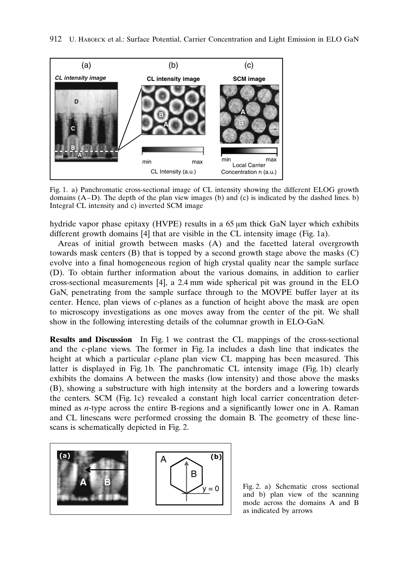

Fig. 1. a) Panchromatic cross-sectional image of CL intensity showing the different ELOG growth domains  $(A-D)$ . The depth of the plan view images (b) and (c) is indicated by the dashed lines. b) Integral CL intensity and c) inverted SCM image

hydride vapor phase epitaxy (HVPE) results in a 65  $\mu$ m thick GaN layer which exhibits different growth domains [4] that are visible in the CL intensity image (Fig. 1a).

Areas of initial growth between masks (A) and the facetted lateral overgrowth towards mask centers (B) that is topped by a second growth stage above the masks (C) evolve into a final homogeneous region of high crystal quality near the sample surface (D). To obtain further information about the various domains, in addition to earlier cross-sectional measurements [4], a 2.4 mm wide spherical pit was ground in the ELO GaN, penetrating from the sample surface through to the MOVPE buffer layer at its center. Hence, plan views of c-planes as a function of height above the mask are open to microscopy investigations as one moves away from the center of the pit. We shall show in the following interesting details of the columnar growth in ELO-GaN.

Results and Discussion In Fig. 1 we contrast the CL mappings of the cross-sectional and the c-plane views. The former in Fig. 1a includes a dash line that indicates the height at which a particular c-plane plan view CL mapping has been measured. This latter is displayed in Fig. 1b. The panchromatic CL intensity image (Fig. 1b) clearly exhibits the domains A between the masks (low intensity) and those above the masks (B), showing a substructure with high intensity at the borders and a lowering towards the centers. SCM (Fig. 1c) revealed a constant high local carrier concentration determined as n-type across the entire B-regions and a significantly lower one in A. Raman and CL linescans were performed crossing the domain B. The geometry of these linescans is schematically depicted in Fig. 2.



Fig. 2. a) Schematic cross sectional and b) plan view of the scanning mode across the domains A and B as indicated by arrows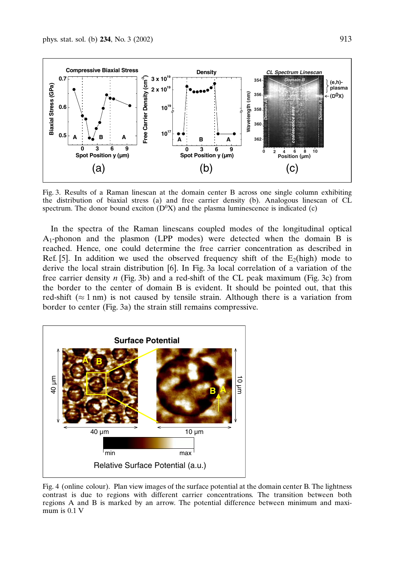

Fig. 3. Results of a Raman linescan at the domain center B across one single column exhibiting the distribution of biaxial stress (a) and free carrier density (b). Analogous linescan of CL spectrum. The donor bound exciton  $(D^{0}X)$  and the plasma luminescence is indicated (c)

In the spectra of the Raman linescans coupled modes of the longitudinal optical A1-phonon and the plasmon (LPP modes) were detected when the domain B is reached. Hence, one could determine the free carrier concentration as described in Ref. [5]. In addition we used the observed frequency shift of the  $E_2(high)$  mode to derive the local strain distribution [6]. In Fig. 3a local correlation of a variation of the free carrier density  $n$  (Fig. 3b) and a red-shift of the CL peak maximum (Fig. 3c) from the border to the center of domain B is evident. It should be pointed out, that this red-shift ( $\approx 1$  nm) is not caused by tensile strain. Although there is a variation from border to center (Fig. 3a) the strain still remains compressive.



Fig. 4 (online colour). Plan view images of the surface potential at the domain center B. The lightness contrast is due to regions with different carrier concentrations. The transition between both regions A and B is marked by an arrow. The potential difference between minimum and maximum is 0.1 V